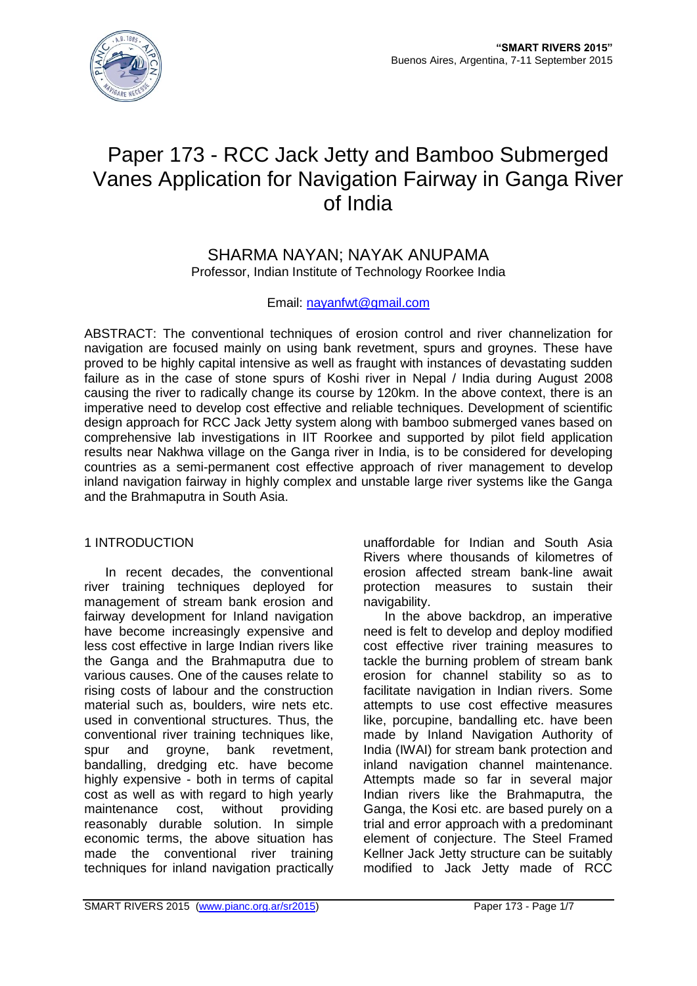

# Paper 173 - RCC Jack Jetty and Bamboo Submerged Vanes Application for Navigation Fairway in Ganga River of India

SHARMA NAYAN; NAYAK ANUPAMA Professor, Indian Institute of Technology Roorkee India

## Email: [nayanfwt@gmail.com](mailto:nayanfwt@gmail.com)

ABSTRACT: The conventional techniques of erosion control and river channelization for navigation are focused mainly on using bank revetment, spurs and groynes. These have proved to be highly capital intensive as well as fraught with instances of devastating sudden failure as in the case of stone spurs of Koshi river in Nepal / India during August 2008 causing the river to radically change its course by 120km. In the above context, there is an imperative need to develop cost effective and reliable techniques. Development of scientific design approach for RCC Jack Jetty system along with bamboo submerged vanes based on comprehensive lab investigations in IIT Roorkee and supported by pilot field application results near Nakhwa village on the Ganga river in India, is to be considered for developing countries as a semi-permanent cost effective approach of river management to develop inland navigation fairway in highly complex and unstable large river systems like the Ganga and the Brahmaputra in South Asia.

### 1 INTRODUCTION

In recent decades, the conventional river training techniques deployed for management of stream bank erosion and fairway development for Inland navigation have become increasingly expensive and less cost effective in large Indian rivers like the Ganga and the Brahmaputra due to various causes. One of the causes relate to rising costs of labour and the construction material such as, boulders, wire nets etc. used in conventional structures. Thus, the conventional river training techniques like, spur and groyne, bank revetment, bandalling, dredging etc. have become highly expensive - both in terms of capital cost as well as with regard to high yearly maintenance cost, without providing reasonably durable solution. In simple economic terms, the above situation has made the conventional river training techniques for inland navigation practically

unaffordable for Indian and South Asia Rivers where thousands of kilometres of erosion affected stream bank-line await protection measures to sustain their navigability.

In the above backdrop, an imperative need is felt to develop and deploy modified cost effective river training measures to tackle the burning problem of stream bank erosion for channel stability so as to facilitate navigation in Indian rivers. Some attempts to use cost effective measures like, porcupine, bandalling etc. have been made by Inland Navigation Authority of India (IWAI) for stream bank protection and inland navigation channel maintenance. Attempts made so far in several major Indian rivers like the Brahmaputra, the Ganga, the Kosi etc. are based purely on a trial and error approach with a predominant element of conjecture. The Steel Framed Kellner Jack Jetty structure can be suitably modified to Jack Jetty made of RCC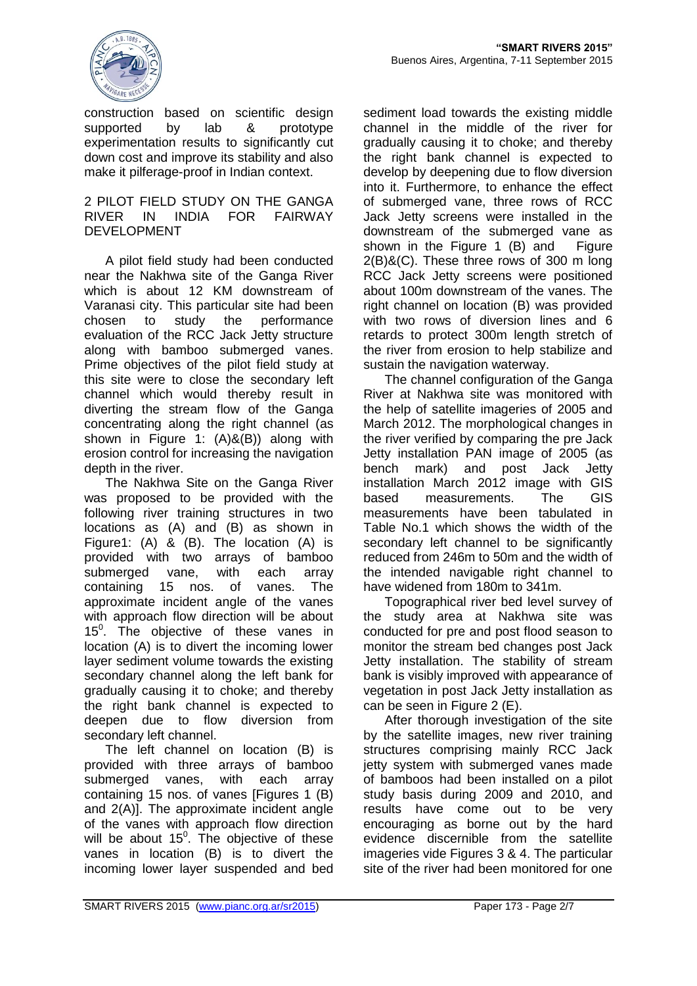

construction based on scientific design supported by lab & prototype experimentation results to significantly cut down cost and improve its stability and also make it pilferage-proof in Indian context.

#### 2 PILOT FIELD STUDY ON THE GANGA RIVER IN INDIA FOR FAIRWAY DEVELOPMENT

A pilot field study had been conducted near the Nakhwa site of the Ganga River which is about 12 KM downstream of Varanasi city. This particular site had been chosen to study the performance evaluation of the RCC Jack Jetty structure along with bamboo submerged vanes. Prime objectives of the pilot field study at this site were to close the secondary left channel which would thereby result in diverting the stream flow of the Ganga concentrating along the right channel (as shown in Figure 1: (A)&(B)) along with erosion control for increasing the navigation depth in the river.

The Nakhwa Site on the Ganga River was proposed to be provided with the following river training structures in two locations as (A) and (B) as shown in Figure1: (A) & (B). The location (A) is provided with two arrays of bamboo submerged vane, with each array containing 15 nos. of vanes. The approximate incident angle of the vanes with approach flow direction will be about 15<sup>0</sup>. The objective of these vanes in location (A) is to divert the incoming lower layer sediment volume towards the existing secondary channel along the left bank for gradually causing it to choke; and thereby the right bank channel is expected to deepen due to flow diversion from secondary left channel.

The left channel on location (B) is provided with three arrays of bamboo submerged vanes, with each array containing 15 nos. of vanes [Figures 1 (B) and 2(A)]. The approximate incident angle of the vanes with approach flow direction will be about  $15^{\circ}$ . The objective of these vanes in location (B) is to divert the incoming lower layer suspended and bed

sediment load towards the existing middle channel in the middle of the river for gradually causing it to choke; and thereby the right bank channel is expected to develop by deepening due to flow diversion into it. Furthermore, to enhance the effect of submerged vane, three rows of RCC Jack Jetty screens were installed in the downstream of the submerged vane as shown in the Figure 1 (B) and Figure 2(B)&(C). These three rows of 300 m long RCC Jack Jetty screens were positioned about 100m downstream of the vanes. The right channel on location (B) was provided with two rows of diversion lines and 6 retards to protect 300m length stretch of the river from erosion to help stabilize and sustain the navigation waterway.

The channel configuration of the Ganga River at Nakhwa site was monitored with the help of satellite imageries of 2005 and March 2012. The morphological changes in the river verified by comparing the pre Jack Jetty installation PAN image of 2005 (as bench mark) and post Jack Jetty installation March 2012 image with GIS based measurements. The GIS measurements have been tabulated in Table No.1 which shows the width of the secondary left channel to be significantly reduced from 246m to 50m and the width of the intended navigable right channel to have widened from 180m to 341m.

Topographical river bed level survey of the study area at Nakhwa site was conducted for pre and post flood season to monitor the stream bed changes post Jack Jetty installation. The stability of stream bank is visibly improved with appearance of vegetation in post Jack Jetty installation as can be seen in Figure 2 (E).

After thorough investigation of the site by the satellite images, new river training structures comprising mainly RCC Jack jetty system with submerged vanes made of bamboos had been installed on a pilot study basis during 2009 and 2010, and results have come out to be very encouraging as borne out by the hard evidence discernible from the satellite imageries vide Figures 3 & 4. The particular site of the river had been monitored for one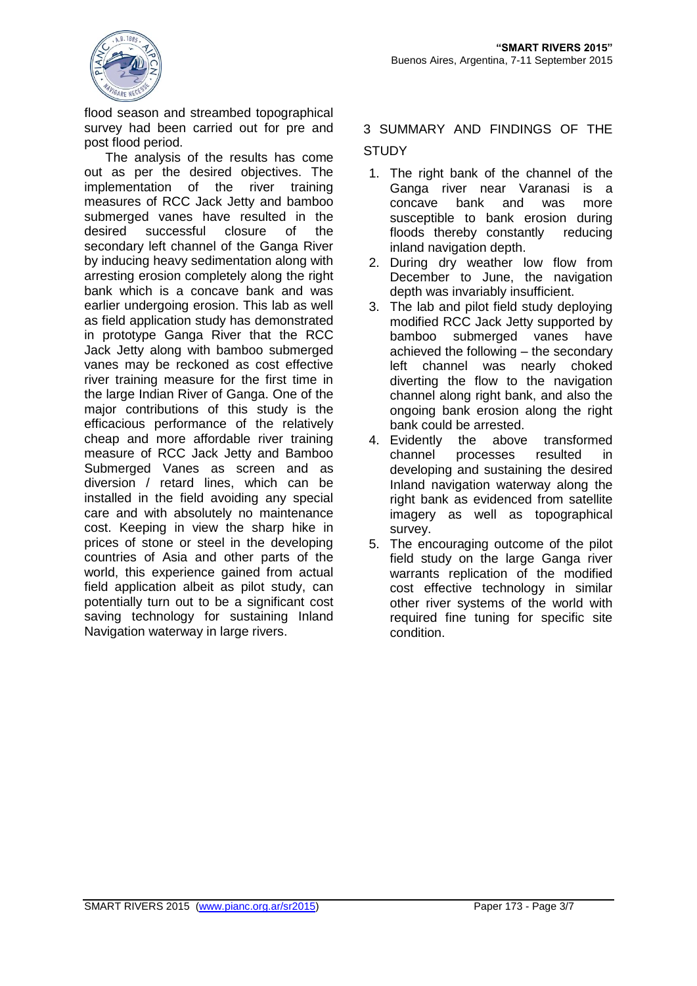

flood season and streambed topographical survey had been carried out for pre and post flood period.

The analysis of the results has come out as per the desired objectives. The implementation of the river training measures of RCC Jack Jetty and bamboo submerged vanes have resulted in the desired successful closure of the secondary left channel of the Ganga River by inducing heavy sedimentation along with arresting erosion completely along the right bank which is a concave bank and was earlier undergoing erosion. This lab as well as field application study has demonstrated in prototype Ganga River that the RCC Jack Jetty along with bamboo submerged vanes may be reckoned as cost effective river training measure for the first time in the large Indian River of Ganga. One of the major contributions of this study is the efficacious performance of the relatively cheap and more affordable river training measure of RCC Jack Jetty and Bamboo Submerged Vanes as screen and as diversion / retard lines, which can be installed in the field avoiding any special care and with absolutely no maintenance cost. Keeping in view the sharp hike in prices of stone or steel in the developing countries of Asia and other parts of the world, this experience gained from actual field application albeit as pilot study, can potentially turn out to be a significant cost saving technology for sustaining Inland Navigation waterway in large rivers.

3 SUMMARY AND FINDINGS OF THE **STUDY** 

- 1. The right bank of the channel of the Ganga river near Varanasi is a concave bank and was more susceptible to bank erosion during floods thereby constantly reducing inland navigation depth.
- 2. During dry weather low flow from December to June, the navigation depth was invariably insufficient.
- 3. The lab and pilot field study deploying modified RCC Jack Jetty supported by bamboo submerged vanes have achieved the following – the secondary left channel was nearly choked diverting the flow to the navigation channel along right bank, and also the ongoing bank erosion along the right bank could be arrested.
- 4. Evidently the above transformed channel processes resulted in developing and sustaining the desired Inland navigation waterway along the right bank as evidenced from satellite imagery as well as topographical survey.
- 5. The encouraging outcome of the pilot field study on the large Ganga river warrants replication of the modified cost effective technology in similar other river systems of the world with required fine tuning for specific site condition.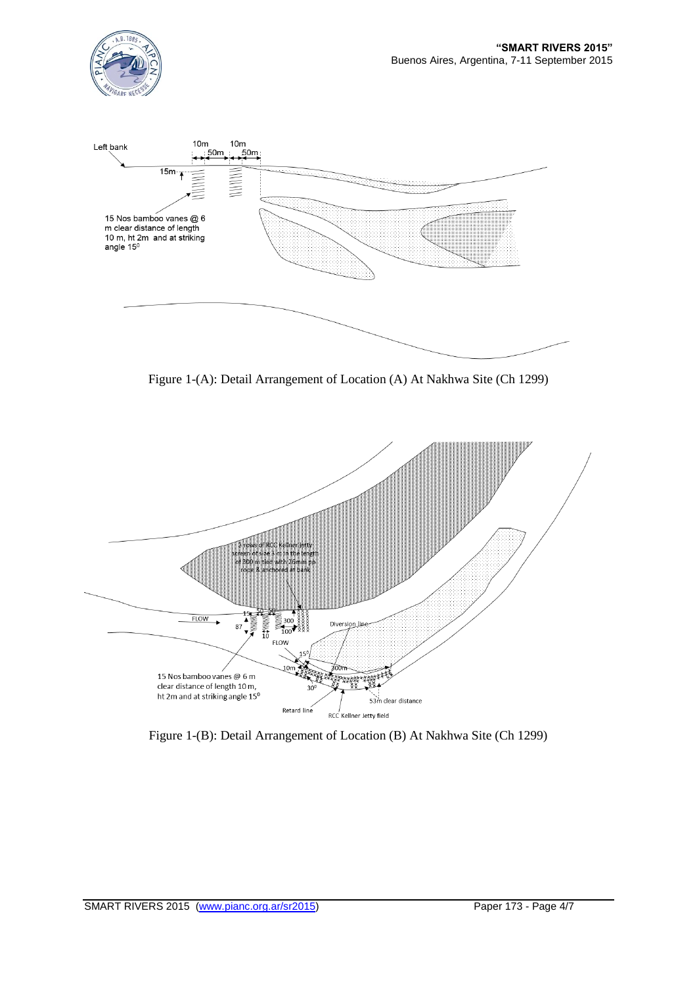



Figure 1-(A): Detail Arrangement of Location (A) At Nakhwa Site (Ch 1299)



Figure 1-(B): Detail Arrangement of Location (B) At Nakhwa Site (Ch 1299)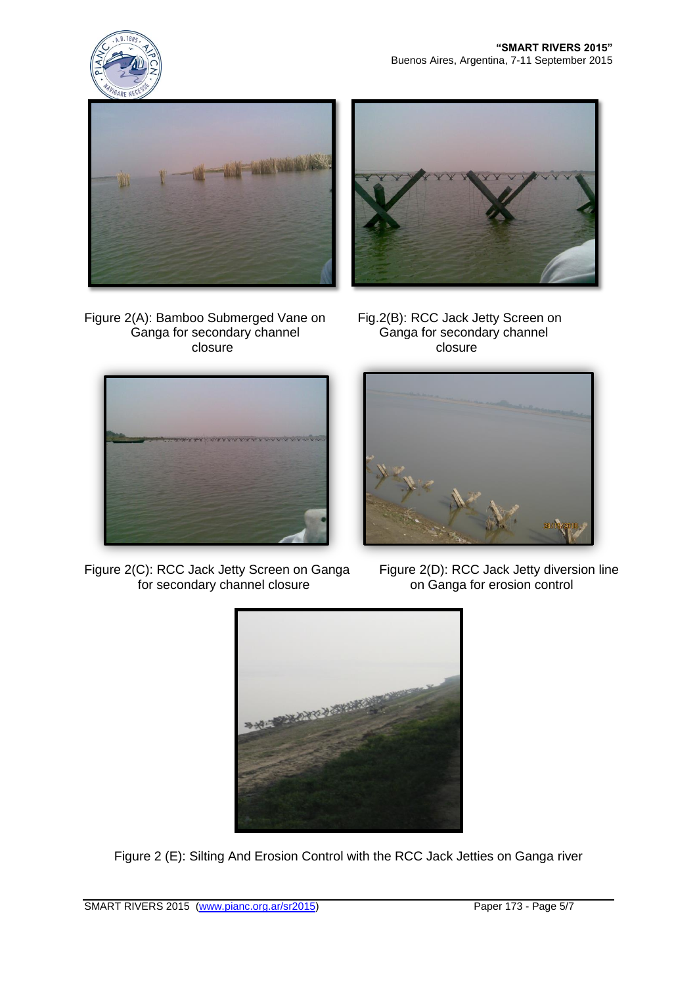



Figure 2(A): Bamboo Submerged Vane on Fig.2(B): RCC Jack Jetty Screen on Ganga for secondary channel Ganga for secondary channel closure closure closure





Figure 2(C): RCC Jack Jetty Screen on Ganga Figure 2(D): RCC Jack Jetty diversion line<br>for secondary channel closure on Ganga for erosion control for secondary channel closure





Figure 2 (E): Silting And Erosion Control with the RCC Jack Jetties on Ganga river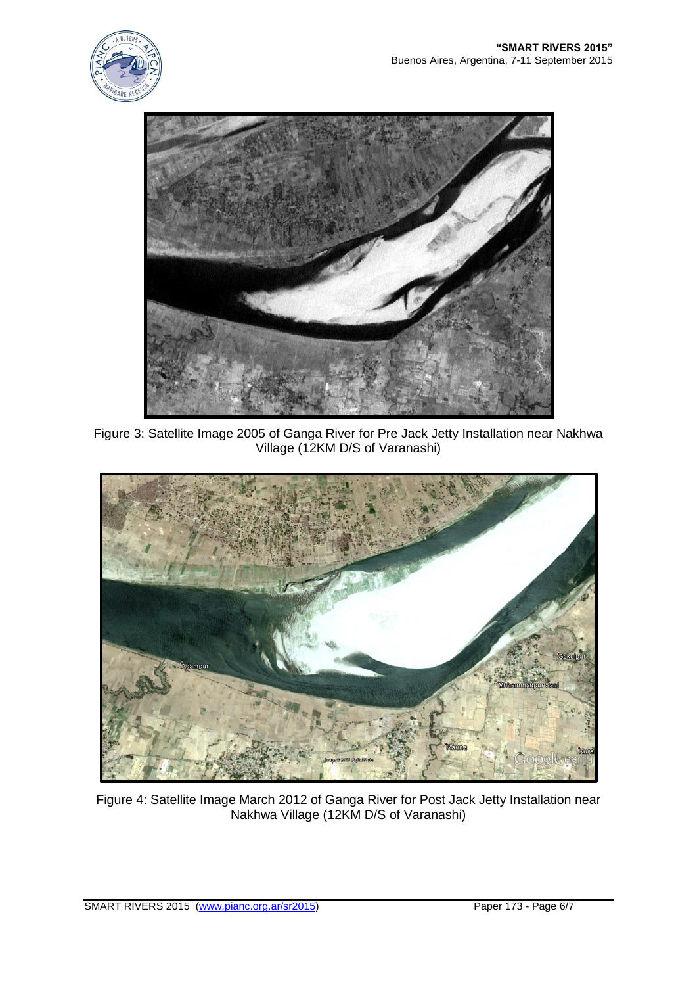



Figure 3: Satellite Image 2005 of Ganga River for Pre Jack Jetty Installation near Nakhwa Village (12KM D/S of Varanashi)



Figure 4: Satellite Image March 2012 of Ganga River for Post Jack Jetty Installation near Nakhwa Village (12KM D/S of Varanashi)